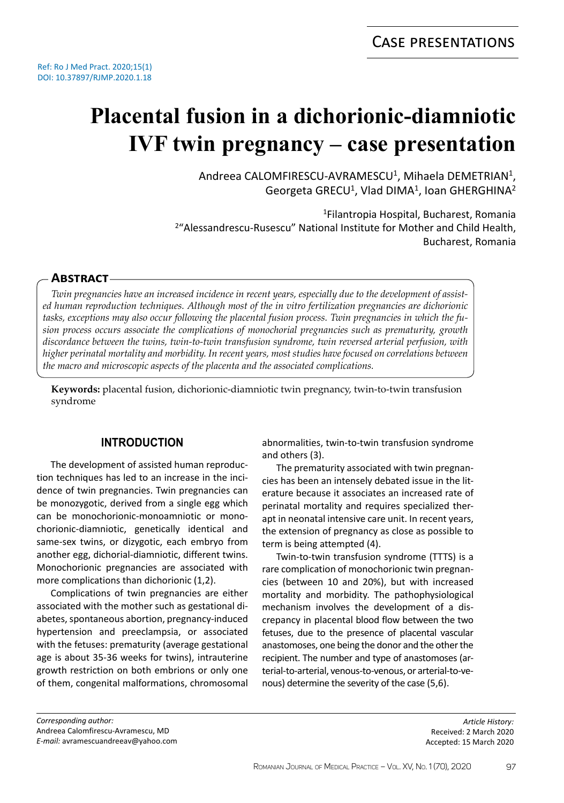# **Placental fusion in a dichorionic-diamniotic IVF twin pregnancy – case presentation**

Andreea CALOMFIRESCU-AVRAMESCU<sup>1</sup>, Mihaela DEMETRIAN<sup>1</sup>, Georgeta GRECU<sup>1</sup>, Vlad DIMA<sup>1</sup>, Ioan GHERGHINA<sup>2</sup>

<sup>1</sup>Filantropia Hospital, Bucharest, Romania <sup>2</sup>"Alessandrescu-Rusescu" National Institute for Mother and Child Health, Bucharest, Romania

# **Abstract**

*Twin pregnancies have an increased incidence in recent years, especially due to the development of assisted human reproduction techniques. Although most of the in vitro fertilization pregnancies are dichorionic tasks, exceptions may also occur following the placental fusion process. Twin pregnancies in which the fusion process occurs associate the complications of monochorial pregnancies such as prematurity, growth discordance between the twins, twin-to-twin transfusion syndrome, twin reversed arterial perfusion, with higher perinatal mortality and morbidity. In recent years, most studies have focused on correlations between the macro and microscopic aspects of the placenta and the associated complications.*

**Keywords:** placental fusion, dichorionic-diamniotic twin pregnancy, twin-to-twin transfusion syndrome

# **INTRODUCTION**

The development of assisted human reproduction techniques has led to an increase in the incidence of twin pregnancies. Twin pregnancies can be monozygotic, derived from a single egg which can be monochorionic-monoamniotic or monochorionic-diamniotic, genetically identical and same-sex twins, or dizygotic, each embryo from another egg, dichorial-diamniotic, different twins. Monochorionic pregnancies are associated with more complications than dichorionic (1,2).

Complications of twin pregnancies are either associated with the mother such as gestational diabetes, spontaneous abortion, pregnancy-induced hypertension and preeclampsia, or associated with the fetuses: prematurity (average gestational age is about 35-36 weeks for twins), intrauterine growth restriction on both embrions or only one of them, congenital malformations, chromosomal

abnormalities, twin-to-twin transfusion syndrome and others (3).

The prematurity associated with twin pregnancies has been an intensely debated issue in the literature because it associates an increased rate of perinatal mortality and requires specialized therapt in neonatal intensive care unit. In recent years, the extension of pregnancy as close as possible to term is being attempted (4).

Twin-to-twin transfusion syndrome (TTTS) is a rare complication of monochorionic twin pregnancies (between 10 and 20%), but with increased mortality and morbidity. The pathophysiological mechanism involves the development of a discrepancy in placental blood flow between the two fetuses, due to the presence of placental vascular anastomoses, one being the donor and the other the recipient. The number and type of anastomoses (arterial-to-arterial, venous-to-venous, or arterial-to-venous) determine the severity of the case (5,6).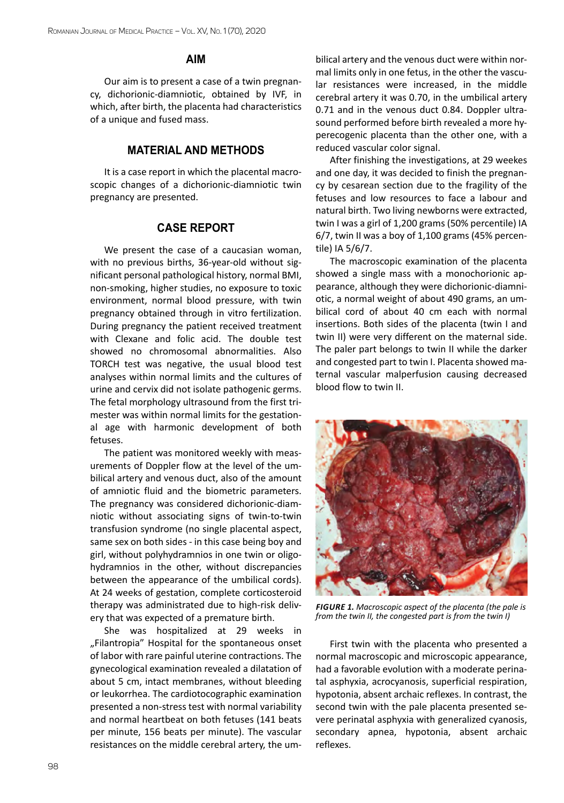#### **AIM**

Our aim is to present a case of a twin pregnancy, dichorionic-diamniotic, obtained by IVF, in which, after birth, the placenta had characteristics of a unique and fused mass.

## **MATERIAL AND METHODS**

It is a case report in which the placental macroscopic changes of a dichorionic-diamniotic twin pregnancy are presented.

### **CASE REPORT**

We present the case of a caucasian woman, with no previous births, 36-year-old without significant personal pathological history, normal BMI, non-smoking, higher studies, no exposure to toxic environment, normal blood pressure, with twin pregnancy obtained through in vitro fertilization. During pregnancy the patient received treatment with Clexane and folic acid. The double test showed no chromosomal abnormalities. Also TORCH test was negative, the usual blood test analyses within normal limits and the cultures of urine and cervix did not isolate pathogenic germs. The fetal morphology ultrasound from the first trimester was within normal limits for the gestational age with harmonic development of both fetuses.

The patient was monitored weekly with measurements of Doppler flow at the level of the umbilical artery and venous duct, also of the amount of amniotic fluid and the biometric parameters. The pregnancy was considered dichorionic-diamniotic without associating signs of twin-to-twin transfusion syndrome (no single placental aspect, same sex on both sides - in this case being boy and girl, without polyhydramnios in one twin or oligohydramnios in the other, without discrepancies between the appearance of the umbilical cords). At 24 weeks of gestation, complete corticosteroid therapy was administrated due to high-risk delivery that was expected of a premature birth.

She was hospitalized at 29 weeks in "Filantropia" Hospital for the spontaneous onset of labor with rare painful uterine contractions. The gynecological examination revealed a dilatation of about 5 cm, intact membranes, without bleeding or leukorrhea. The cardiotocographic examination presented a non-stress test with normal variability and normal heartbeat on both fetuses (141 beats per minute, 156 beats per minute). The vascular resistances on the middle cerebral artery, the umbilical artery and the venous duct were within normal limits only in one fetus, in the other the vascular resistances were increased, in the middle cerebral artery it was 0.70, in the umbilical artery 0.71 and in the venous duct 0.84. Doppler ultrasound performed before birth revealed a more hyperecogenic placenta than the other one, with a reduced vascular color signal.

After finishing the investigations, at 29 weekes and one day, it was decided to finish the pregnancy by cesarean section due to the fragility of the fetuses and low resources to face a labour and natural birth. Two living newborns were extracted, twin I was a girl of 1,200 grams (50% percentile) IA 6/7, twin II was a boy of 1,100 grams (45% percentile) IA 5/6/7.

The macroscopic examination of the placenta showed a single mass with a monochorionic appearance, although they were dichorionic-diamniotic, a normal weight of about 490 grams, an umbilical cord of about 40 cm each with normal insertions. Both sides of the placenta (twin I and twin II) were very different on the maternal side. The paler part belongs to twin II while the darker and congested part to twin I. Placenta showed maternal vascular malperfusion causing decreased blood flow to twin II.



*Figure 1. Macroscopic aspect of the placenta (the pale is from the twin II, the congested part is from the twin I)*

First twin with the placenta who presented a normal macroscopic and microscopic appearance, had a favorable evolution with a moderate perinatal asphyxia, acrocyanosis, superficial respiration, hypotonia, absent archaic reflexes. In contrast, the second twin with the pale placenta presented severe perinatal asphyxia with generalized cyanosis, secondary apnea, hypotonia, absent archaic reflexes.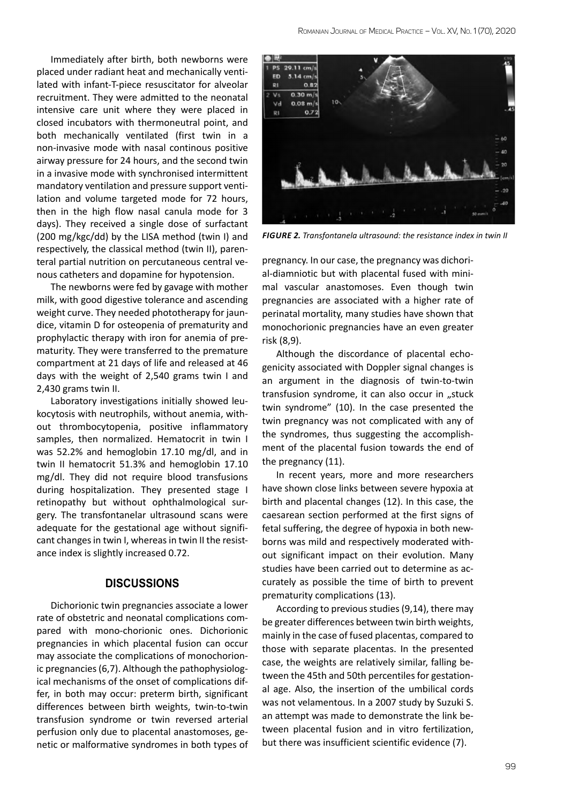Immediately after birth, both newborns were placed under radiant heat and mechanically ventilated with infant-T-piece resuscitator for alveolar recruitment. They were admitted to the neonatal intensive care unit where they were placed in closed incubators with thermoneutral point, and both mechanically ventilated (first twin in a non-invasive mode with nasal continous positive airway pressure for 24 hours, and the second twin in a invasive mode with synchronised intermittent mandatory ventilation and pressure support ventilation and volume targeted mode for 72 hours, then in the high flow nasal canula mode for 3 days). They received a single dose of surfactant (200 mg/kgc/dd) by the LISA method (twin I) and respectively, the classical method (twin II), parenteral partial nutrition on percutaneous central venous catheters and dopamine for hypotension.

The newborns were fed by gavage with mother milk, with good digestive tolerance and ascending weight curve. They needed phototherapy for jaundice, vitamin D for osteopenia of prematurity and prophylactic therapy with iron for anemia of prematurity. They were transferred to the premature compartment at 21 days of life and released at 46 days with the weight of 2,540 grams twin I and 2,430 grams twin II.

Laboratory investigations initially showed leukocytosis with neutrophils, without anemia, without thrombocytopenia, positive inflammatory samples, then normalized. Hematocrit in twin I was 52.2% and hemoglobin 17.10 mg/dl, and in twin II hematocrit 51.3% and hemoglobin 17.10 mg/dl. They did not require blood transfusions during hospitalization. They presented stage I retinopathy but without ophthalmological surgery. The transfontanelar ultrasound scans were adequate for the gestational age without significant changes in twin I, whereas in twin II the resistance index is slightly increased 0.72.

#### **DISCUSSIONS**

Dichorionic twin pregnancies associate a lower rate of obstetric and neonatal complications compared with mono-chorionic ones. Dichorionic pregnancies in which placental fusion can occur may associate the complications of monochorionic pregnancies (6,7). Although the pathophysiological mechanisms of the onset of complications differ, in both may occur: preterm birth, significant differences between birth weights, twin-to-twin transfusion syndrome or twin reversed arterial perfusion only due to placental anastomoses, genetic or malformative syndromes in both types of



*Figure 2. Transfontanela ultrasound: the resistance index in twin II*

pregnancy. In our case, the pregnancy was dichorial-diamniotic but with placental fused with minimal vascular anastomoses. Even though twin pregnancies are associated with a higher rate of perinatal mortality, many studies have shown that monochorionic pregnancies have an even greater risk (8,9).

Although the discordance of placental echogenicity associated with Doppler signal changes is an argument in the diagnosis of twin-to-twin transfusion syndrome, it can also occur in "stuck twin syndrome" (10). In the case presented the twin pregnancy was not complicated with any of the syndromes, thus suggesting the accomplishment of the placental fusion towards the end of the pregnancy (11).

In recent years, more and more researchers have shown close links between severe hypoxia at birth and placental changes (12). In this case, the caesarean section performed at the first signs of fetal suffering, the degree of hypoxia in both newborns was mild and respectively moderated without significant impact on their evolution. Many studies have been carried out to determine as accurately as possible the time of birth to prevent prematurity complications (13).

According to previous studies (9,14), there may be greater differences between twin birth weights, mainly in the case of fused placentas, compared to those with separate placentas. In the presented case, the weights are relatively similar, falling between the 45th and 50th percentiles for gestational age. Also, the insertion of the umbilical cords was not velamentous. In a 2007 study by Suzuki S. an attempt was made to demonstrate the link between placental fusion and in vitro fertilization, but there was insufficient scientific evidence (7).